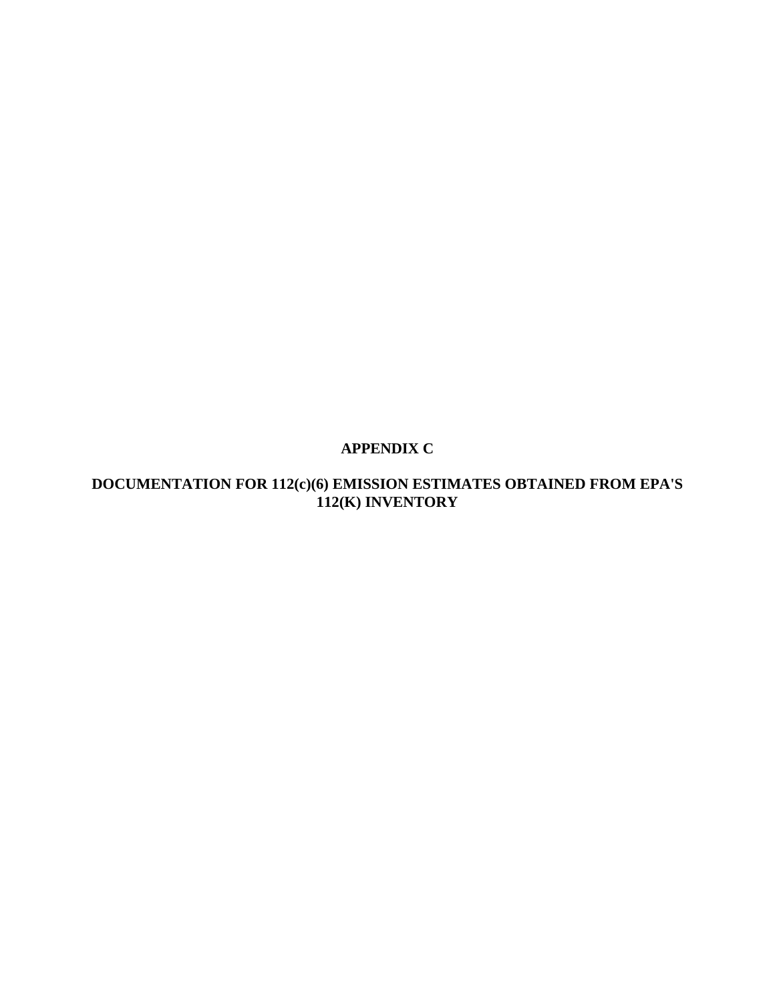# **APPENDIX C**

# **DOCUMENTATION FOR 112(c)(6) EMISSION ESTIMATES OBTAINED FROM EPA'S 112(K) INVENTORY**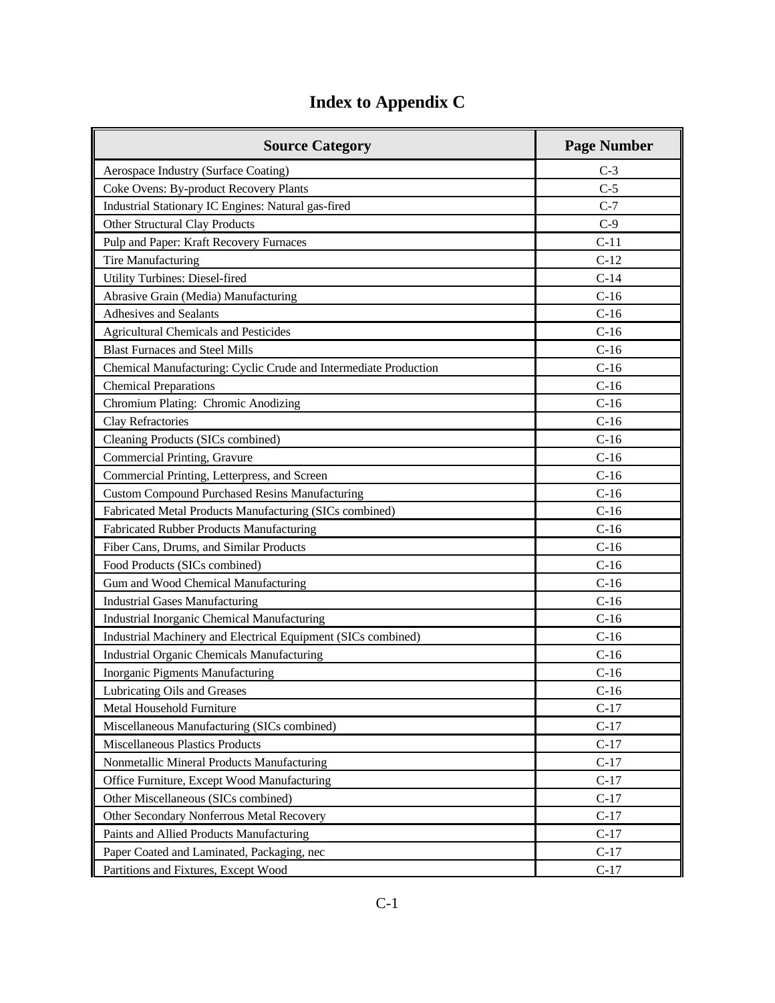# **Index to Appendix C**

| <b>Source Category</b>                                           | <b>Page Number</b> |
|------------------------------------------------------------------|--------------------|
| Aerospace Industry (Surface Coating)                             | $C-3$              |
| Coke Ovens: By-product Recovery Plants                           | $C-5$              |
| Industrial Stationary IC Engines: Natural gas-fired              | $C-7$              |
| Other Structural Clay Products                                   | $C-9$              |
| Pulp and Paper: Kraft Recovery Furnaces                          | $C-11$             |
| Tire Manufacturing                                               | $C-12$             |
| <b>Utility Turbines: Diesel-fired</b>                            | $C-14$             |
| Abrasive Grain (Media) Manufacturing                             | $C-16$             |
| <b>Adhesives and Sealants</b>                                    | $C-16$             |
| <b>Agricultural Chemicals and Pesticides</b>                     | $C-16$             |
| <b>Blast Furnaces and Steel Mills</b>                            | $C-16$             |
| Chemical Manufacturing: Cyclic Crude and Intermediate Production | $C-16$             |
| <b>Chemical Preparations</b>                                     | $C-16$             |
| Chromium Plating: Chromic Anodizing                              | $C-16$             |
| Clay Refractories                                                | $C-16$             |
| Cleaning Products (SICs combined)                                | $C-16$             |
| Commercial Printing, Gravure                                     | $C-16$             |
| Commercial Printing, Letterpress, and Screen                     | $C-16$             |
| <b>Custom Compound Purchased Resins Manufacturing</b>            | $C-16$             |
| Fabricated Metal Products Manufacturing (SICs combined)          | $C-16$             |
| Fabricated Rubber Products Manufacturing                         | $C-16$             |
| Fiber Cans, Drums, and Similar Products                          | $C-16$             |
| Food Products (SICs combined)                                    | $C-16$             |
| Gum and Wood Chemical Manufacturing                              | $C-16$             |
| <b>Industrial Gases Manufacturing</b>                            | $C-16$             |
| Industrial Inorganic Chemical Manufacturing                      | $C-16$             |
| Industrial Machinery and Electrical Equipment (SICs combined)    | $C-16$             |
| <b>Industrial Organic Chemicals Manufacturing</b>                | $C-16$             |
| Inorganic Pigments Manufacturing                                 | $C-16$             |
| Lubricating Oils and Greases                                     | $C-16$             |
| Metal Household Furniture                                        | $C-17$             |
| Miscellaneous Manufacturing (SICs combined)                      | $C-17$             |
| Miscellaneous Plastics Products                                  | $C-17$             |
| Nonmetallic Mineral Products Manufacturing                       | $C-17$             |
| Office Furniture, Except Wood Manufacturing                      | $C-17$             |
| Other Miscellaneous (SICs combined)                              | $C-17$             |
| Other Secondary Nonferrous Metal Recovery                        | $C-17$             |
| Paints and Allied Products Manufacturing                         | $C-17$             |
| Paper Coated and Laminated, Packaging, nec                       | $C-17$             |
| Partitions and Fixtures, Except Wood                             | $C-17$             |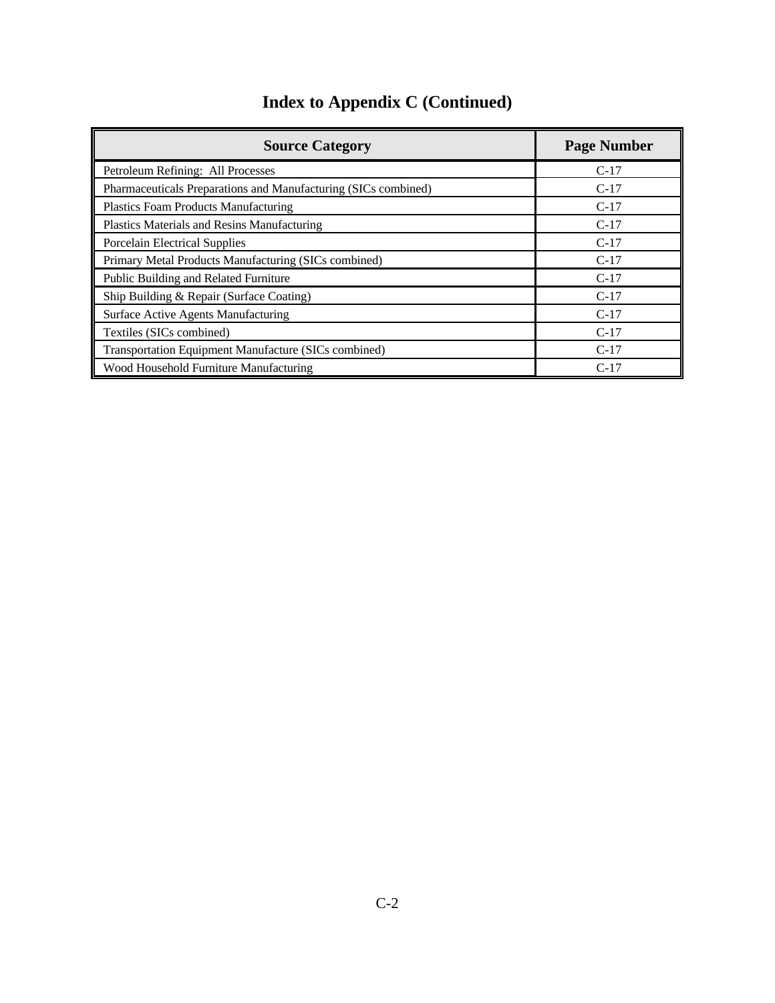|  |  | <b>Index to Appendix C (Continued)</b> |
|--|--|----------------------------------------|
|--|--|----------------------------------------|

| <b>Source Category</b>                                         | <b>Page Number</b> |
|----------------------------------------------------------------|--------------------|
| Petroleum Refining: All Processes                              | $C-17$             |
| Pharmaceuticals Preparations and Manufacturing (SICs combined) | $C-17$             |
| Plastics Foam Products Manufacturing                           | $C-17$             |
| Plastics Materials and Resins Manufacturing                    | $C-17$             |
| <b>Porcelain Electrical Supplies</b>                           | $C-17$             |
| Primary Metal Products Manufacturing (SICs combined)           | $C-17$             |
| Public Building and Related Furniture                          | $C-17$             |
| Ship Building & Repair (Surface Coating)                       | $C-17$             |
| Surface Active Agents Manufacturing                            | $C-17$             |
| Textiles (SICs combined)                                       | $C-17$             |
| Transportation Equipment Manufacture (SICs combined)           | $C-17$             |
| Wood Household Furniture Manufacturing                         | $C-17$             |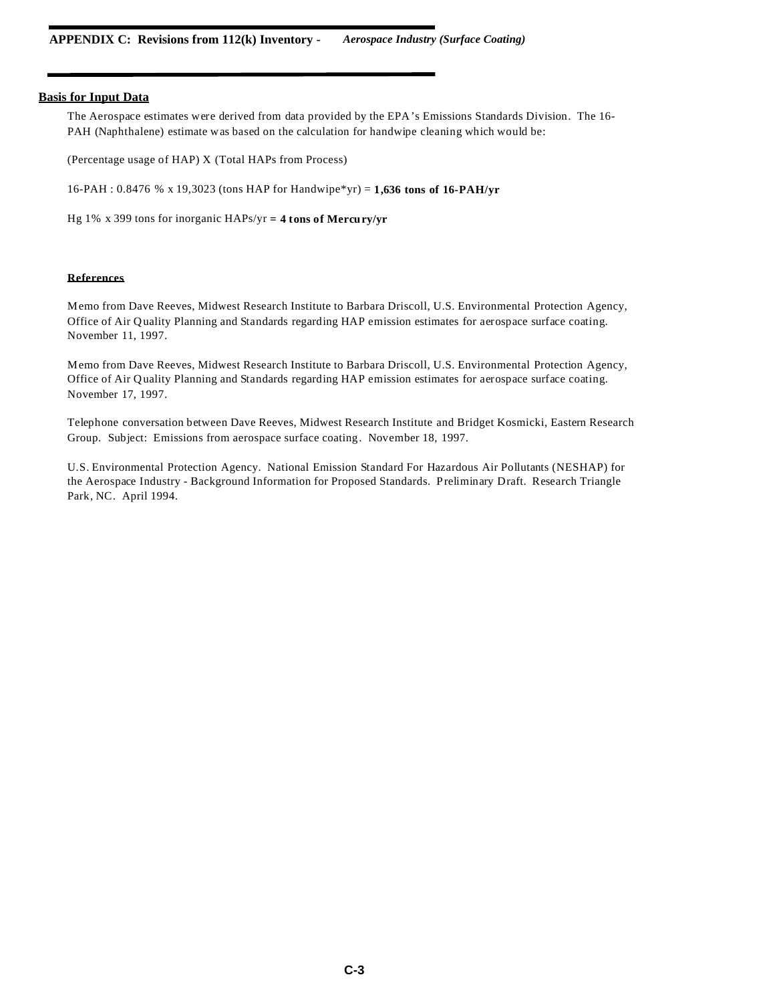The Aerospace estimates were derived from data provided by the EPA's Emissions Standards Division. The 16- PAH (Naphthalene) estimate was based on the calculation for handwipe cleaning which would be:

(Percentage usage of HAP) X (Total HAPs from Process)

16-PAH : 0.8476 % x 19,3023 (tons HAP for Handwipe\*yr) = **1,636 tons of 16-PAH/yr**

Hg 1% x 399 tons for inorganic HAPs/yr **= 4 tons of Mercury/yr**

## **References**

Memo from Dave Reeves, Midwest Research Institute to Barbara Driscoll, U.S. Environmental Protection Agency, Office of Air Quality Planning and Standards regarding HAP emission estimates for aerospace surface coating. November 11, 1997.

Memo from Dave Reeves, Midwest Research Institute to Barbara Driscoll, U.S. Environmental Protection Agency, Office of Air Quality Planning and Standards regarding HAP emission estimates for aerospace surface coating. November 17, 1997.

Telephone conversation between Dave Reeves, Midwest Research Institute and Bridget Kosmicki, Eastern Research Group. Subject: Emissions from aerospace surface coating. November 18, 1997.

U.S. Environmental Protection Agency. National Emission Standard For Hazardous Air Pollutants (NESHAP) for the Aerospace Industry - Background Information for Proposed Standards. Preliminary Draft. Research Triangle Park, NC. April 1994.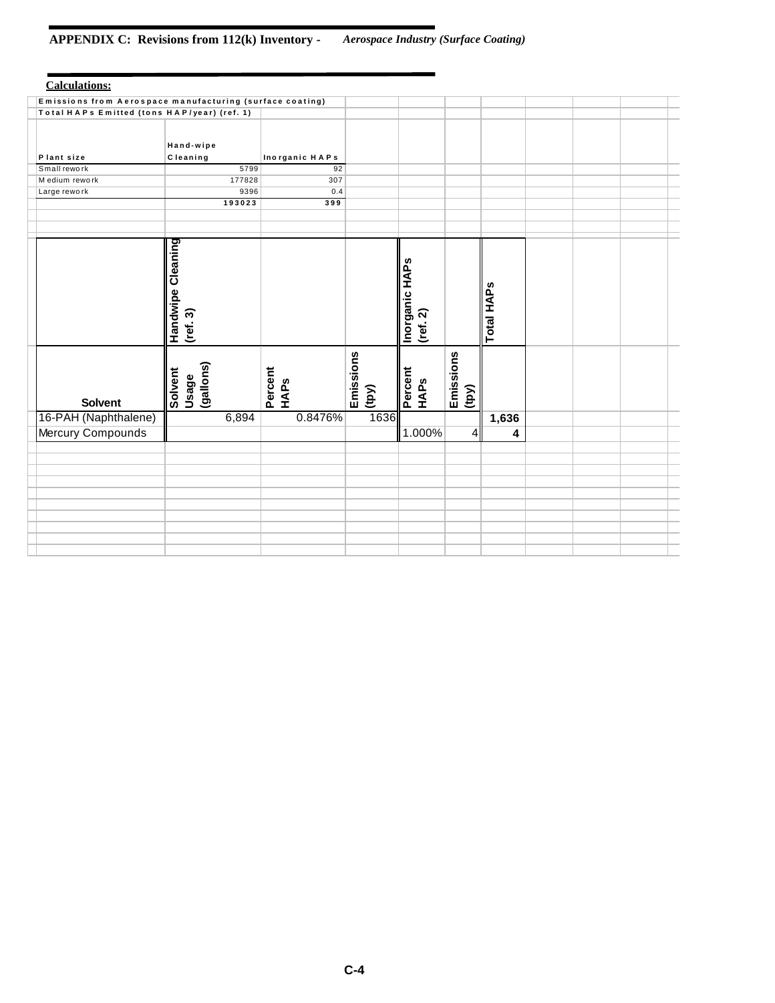# **APPENDIX C: Revisions from 112(k) Inventory -** *Aerospace Industry (Surface Coating)*

| <b>Calculations:</b>                                     |                                                                         |                 |                    |                                                        |                    |            |  |  |
|----------------------------------------------------------|-------------------------------------------------------------------------|-----------------|--------------------|--------------------------------------------------------|--------------------|------------|--|--|
| Emissions from Aerospace manufacturing (surface coating) |                                                                         |                 |                    |                                                        |                    |            |  |  |
| Total HAPs Emitted (tons HAP/year) (ref. 1)              |                                                                         |                 |                    |                                                        |                    |            |  |  |
| Plant size                                               | Hand-wipe<br>Cleaning                                                   | Inorganic HAPs  |                    |                                                        |                    |            |  |  |
| Small rework                                             | 5799                                                                    | 92              |                    |                                                        |                    |            |  |  |
| M edium rework                                           | 177828                                                                  | 307             |                    |                                                        |                    |            |  |  |
| Large rework                                             | 9396                                                                    | 0.4             |                    |                                                        |                    |            |  |  |
|                                                          | 193023                                                                  | 399             |                    |                                                        |                    |            |  |  |
|                                                          |                                                                         |                 |                    |                                                        |                    |            |  |  |
|                                                          |                                                                         |                 |                    |                                                        |                    |            |  |  |
| <b>Solvent</b>                                           | Handwipe Cleaning<br>$(\text{ref. 3})$<br>(gallons)<br>Solvent<br>Usage | Percent<br>HAPS | Emissions<br>(10y) | Inorganic HAPS<br>$(\text{ref. 2})$<br>Percent<br>HAPS | Emissions<br>(100) | Total HAPs |  |  |
| 16-PAH (Naphthalene)                                     | 6,894                                                                   | 0.8476%         | 1636               |                                                        |                    | 1,636      |  |  |
| Mercury Compounds                                        |                                                                         |                 |                    | 1.000%                                                 | 4                  | 4          |  |  |
|                                                          |                                                                         |                 |                    |                                                        |                    |            |  |  |
|                                                          |                                                                         |                 |                    |                                                        |                    |            |  |  |
|                                                          |                                                                         |                 |                    |                                                        |                    |            |  |  |
|                                                          |                                                                         |                 |                    |                                                        |                    |            |  |  |
|                                                          |                                                                         |                 |                    |                                                        |                    |            |  |  |
|                                                          |                                                                         |                 |                    |                                                        |                    |            |  |  |
|                                                          |                                                                         |                 |                    |                                                        |                    |            |  |  |
|                                                          |                                                                         |                 |                    |                                                        |                    |            |  |  |
|                                                          |                                                                         |                 |                    |                                                        |                    |            |  |  |
|                                                          |                                                                         |                 |                    |                                                        |                    |            |  |  |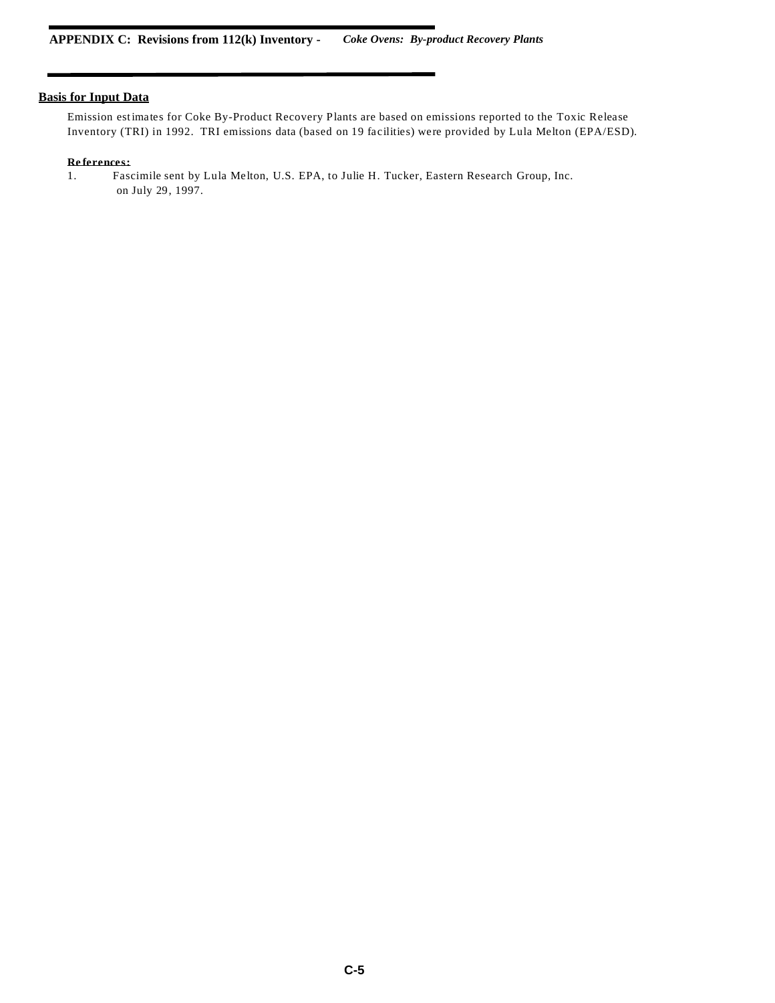Emission estimates for Coke By-Product Recovery Plants are based on emissions reported to the Toxic Release Inventory (TRI) in 1992. TRI emissions data (based on 19 facilities) were provided by Lula Melton (EPA/ESD).

#### **Re ferences:**

1. Fascimile sent by Lula Melton, U.S. EPA, to Julie H. Tucker, Eastern Research Group, Inc. on July 29, 1997.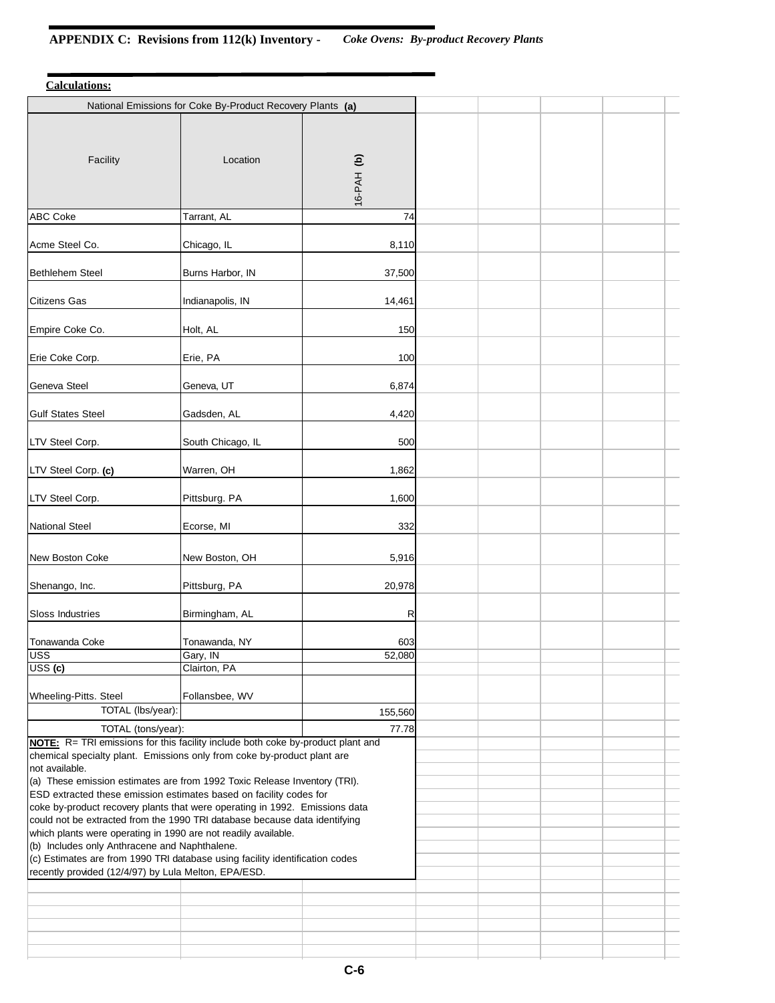| <b>Calculations:</b>                                                                                                                            |                                                                                 |            |  |  |
|-------------------------------------------------------------------------------------------------------------------------------------------------|---------------------------------------------------------------------------------|------------|--|--|
|                                                                                                                                                 | National Emissions for Coke By-Product Recovery Plants (a)                      |            |  |  |
| Facility                                                                                                                                        | Location                                                                        | 16-PAH (b) |  |  |
| <b>ABC Coke</b>                                                                                                                                 | Tarrant, AL                                                                     | 74         |  |  |
| Acme Steel Co.                                                                                                                                  | Chicago, IL                                                                     | 8,110      |  |  |
| <b>Bethlehem Steel</b>                                                                                                                          | Burns Harbor, IN                                                                | 37,500     |  |  |
| <b>Citizens Gas</b>                                                                                                                             | Indianapolis, IN                                                                | 14,461     |  |  |
| Empire Coke Co.                                                                                                                                 | Holt, AL                                                                        | 150        |  |  |
| Erie Coke Corp.                                                                                                                                 | Erie, PA                                                                        | 100        |  |  |
| Geneva Steel                                                                                                                                    | Geneva, UT                                                                      | 6,874      |  |  |
| <b>Gulf States Steel</b>                                                                                                                        | Gadsden, AL                                                                     | 4,420      |  |  |
| LTV Steel Corp.                                                                                                                                 | South Chicago, IL                                                               | 500        |  |  |
| LTV Steel Corp. (c)                                                                                                                             | Warren, OH                                                                      | 1,862      |  |  |
| LTV Steel Corp.                                                                                                                                 | Pittsburg. PA                                                                   | 1,600      |  |  |
| <b>National Steel</b>                                                                                                                           | Ecorse, MI                                                                      | 332        |  |  |
| New Boston Coke                                                                                                                                 | New Boston, OH                                                                  | 5,916      |  |  |
| Shenango, Inc.                                                                                                                                  | Pittsburg, PA                                                                   | 20,978     |  |  |
| Sloss Industries                                                                                                                                | Birmingham, AL                                                                  | R          |  |  |
| <b>Tonawanda Coke</b>                                                                                                                           | Tonawanda, NY                                                                   | 603        |  |  |
| <b>USS</b><br>USS(G)                                                                                                                            | Gary, IN<br>Clairton, PA                                                        | 52,080     |  |  |
| Wheeling-Pitts. Steel                                                                                                                           | Follansbee, WV                                                                  |            |  |  |
| TOTAL (lbs/year):                                                                                                                               |                                                                                 | 155,560    |  |  |
| TOTAL (tons/year):                                                                                                                              |                                                                                 | 77.78      |  |  |
|                                                                                                                                                 | NOTE: R= TRI emissions for this facility include both coke by-product plant and |            |  |  |
|                                                                                                                                                 | chemical specialty plant. Emissions only from coke by-product plant are         |            |  |  |
| not available.                                                                                                                                  |                                                                                 |            |  |  |
| (a) These emission estimates are from 1992 Toxic Release Inventory (TRI).<br>ESD extracted these emission estimates based on facility codes for |                                                                                 |            |  |  |
| coke by-product recovery plants that were operating in 1992. Emissions data                                                                     |                                                                                 |            |  |  |
| could not be extracted from the 1990 TRI database because data identifying                                                                      |                                                                                 |            |  |  |
| which plants were operating in 1990 are not readily available.<br>(b) Includes only Anthracene and Naphthalene.                                 |                                                                                 |            |  |  |
|                                                                                                                                                 | (c) Estimates are from 1990 TRI database using facility identification codes    |            |  |  |
| recently provided (12/4/97) by Lula Melton, EPA/ESD.                                                                                            |                                                                                 |            |  |  |
|                                                                                                                                                 |                                                                                 |            |  |  |
|                                                                                                                                                 |                                                                                 |            |  |  |
|                                                                                                                                                 |                                                                                 |            |  |  |
|                                                                                                                                                 |                                                                                 |            |  |  |
|                                                                                                                                                 |                                                                                 |            |  |  |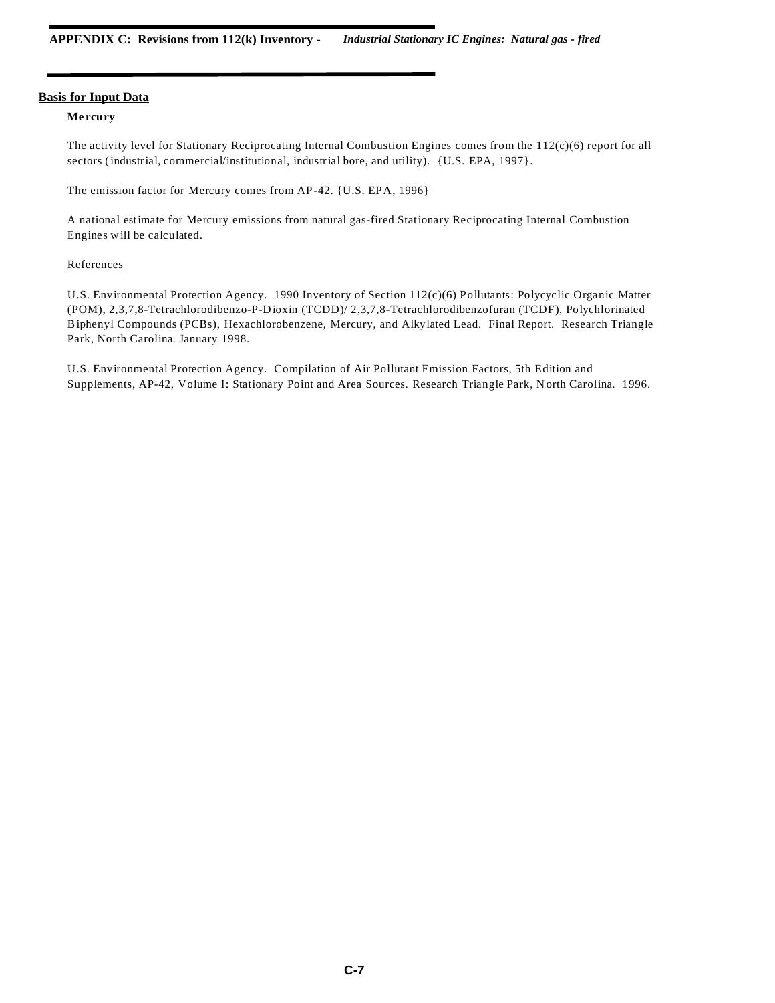## **Me rcury**

The activity level for Stationary Reciprocating Internal Combustion Engines comes from the 112(c)(6) report for all sectors (industrial, commercial/institutional, industrial bore, and utility). {U.S. EPA, 1997}.

The emission factor for Mercury comes from AP-42. {U.S. EPA, 1996}

A national estimate for Mercury emissions from natural gas-fired Stationary Reciprocating Internal Combustion Engines w ill be calculated.

## **References**

U.S. Environmental Protection Agency. 1990 Inventory of Section 112(c)(6) Pollutants: Polycyclic Organic Matter (POM), 2,3,7,8-Tetrachlorodibenzo-P-D ioxin (TCDD)/ 2,3,7,8-Tetrachlorodibenzofuran (TCDF), Polychlorinated Biphenyl Compounds (PCBs), Hexachlorobenzene, Mercury, and Alkylated Lead. Final Report. Research Triangle Park, North Carolina. January 1998.

U.S. Environmental Protection Agency. Compilation of Air Pollutant Emission Factors, 5th Edition and Supplements, AP-42, Volume I: Stationary Point and Area Sources. Research Triangle Park, N orth Carolina. 1996.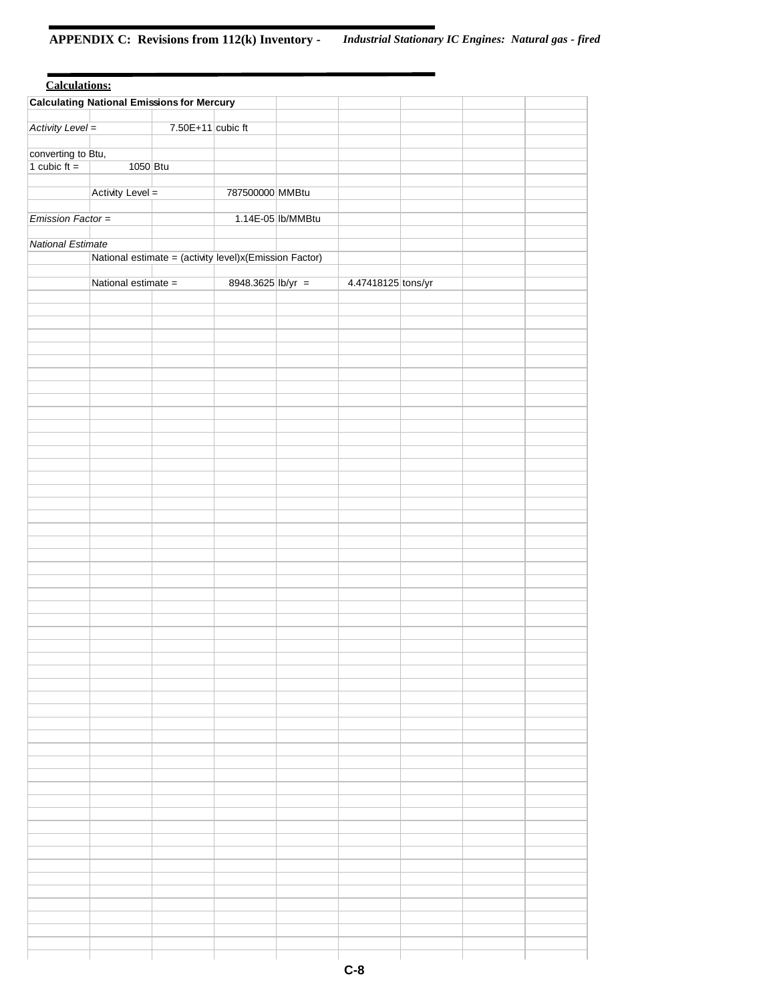# **APPENDIX C: Revisions from 112(k) Inventory -** *Industrial Stationary IC Engines: Natural gas - fired*

| <b>Calculations:</b> |                     |                                                        |                   |                   |                    |  |  |
|----------------------|---------------------|--------------------------------------------------------|-------------------|-------------------|--------------------|--|--|
|                      |                     | <b>Calculating National Emissions for Mercury</b>      |                   |                   |                    |  |  |
| Activity Level =     |                     | $7.50E+11$ cubic ft                                    |                   |                   |                    |  |  |
|                      |                     |                                                        |                   |                   |                    |  |  |
| converting to Btu,   |                     |                                                        |                   |                   |                    |  |  |
| 1 cubic $ft =$       | 1050 Btu            |                                                        |                   |                   |                    |  |  |
|                      | Activity Level =    |                                                        | 787500000 MMBtu   |                   |                    |  |  |
|                      |                     |                                                        |                   |                   |                    |  |  |
| Emission Factor =    |                     |                                                        |                   | 1.14E-05 lb/MMBtu |                    |  |  |
|                      |                     |                                                        |                   |                   |                    |  |  |
| National Estimate    |                     | National estimate = (activity level)x(Emission Factor) |                   |                   |                    |  |  |
|                      |                     |                                                        |                   |                   |                    |  |  |
|                      | National estimate = |                                                        | 8948.3625 lb/yr = |                   | 4.47418125 tons/yr |  |  |
|                      |                     |                                                        |                   |                   |                    |  |  |
|                      |                     |                                                        |                   |                   |                    |  |  |
|                      |                     |                                                        |                   |                   |                    |  |  |
|                      |                     |                                                        |                   |                   |                    |  |  |
|                      |                     |                                                        |                   |                   |                    |  |  |
|                      |                     |                                                        |                   |                   |                    |  |  |
|                      |                     |                                                        |                   |                   |                    |  |  |
|                      |                     |                                                        |                   |                   |                    |  |  |
|                      |                     |                                                        |                   |                   |                    |  |  |
|                      |                     |                                                        |                   |                   |                    |  |  |
|                      |                     |                                                        |                   |                   |                    |  |  |
|                      |                     |                                                        |                   |                   |                    |  |  |
|                      |                     |                                                        |                   |                   |                    |  |  |
|                      |                     |                                                        |                   |                   |                    |  |  |
|                      |                     |                                                        |                   |                   |                    |  |  |
|                      |                     |                                                        |                   |                   |                    |  |  |
|                      |                     |                                                        |                   |                   |                    |  |  |
|                      |                     |                                                        |                   |                   |                    |  |  |
|                      |                     |                                                        |                   |                   |                    |  |  |
|                      |                     |                                                        |                   |                   |                    |  |  |
|                      |                     |                                                        |                   |                   |                    |  |  |
|                      |                     |                                                        |                   |                   |                    |  |  |
|                      |                     |                                                        |                   |                   |                    |  |  |
|                      |                     |                                                        |                   |                   |                    |  |  |
|                      |                     |                                                        |                   |                   |                    |  |  |
|                      |                     |                                                        |                   |                   |                    |  |  |
|                      |                     |                                                        |                   |                   |                    |  |  |
|                      |                     |                                                        |                   |                   |                    |  |  |
|                      |                     |                                                        |                   |                   |                    |  |  |
|                      |                     |                                                        |                   |                   |                    |  |  |
|                      |                     |                                                        |                   |                   |                    |  |  |
|                      |                     |                                                        |                   |                   |                    |  |  |
|                      |                     |                                                        |                   |                   |                    |  |  |
|                      |                     |                                                        |                   |                   |                    |  |  |
|                      |                     |                                                        |                   |                   |                    |  |  |
|                      |                     |                                                        |                   |                   |                    |  |  |
|                      |                     |                                                        |                   |                   |                    |  |  |
|                      |                     |                                                        |                   |                   |                    |  |  |
|                      |                     |                                                        |                   |                   |                    |  |  |
|                      |                     |                                                        |                   |                   |                    |  |  |
|                      |                     |                                                        |                   |                   |                    |  |  |
|                      |                     |                                                        |                   |                   |                    |  |  |
|                      |                     |                                                        |                   |                   |                    |  |  |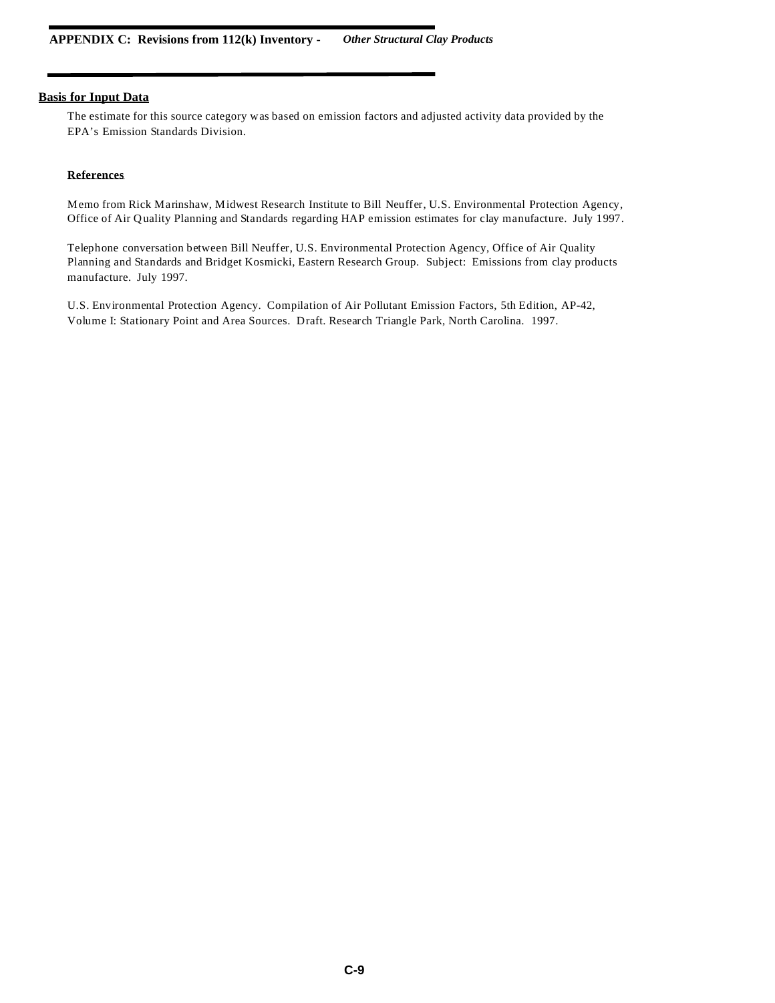The estimate for this source category was based on emission factors and adjusted activity data provided by the EPA's Emission Standards Division.

## **References**

Memo from Rick Marinshaw, Midwest Research Institute to Bill Neuffer, U.S. Environmental Protection Agency, Office of Air Quality Planning and Standards regarding HAP emission estimates for clay manufacture. July 1997.

Telephone conversation between Bill Neuffer, U.S. Environmental Protection Agency, Office of Air Quality Planning and Standards and Bridget Kosmicki, Eastern Research Group. Subject: Emissions from clay products manufacture. July 1997.

U.S. Environmental Protection Agency. Compilation of Air Pollutant Emission Factors, 5th Edition, AP-42, Volume I: Stationary Point and Area Sources. Draft. Research Triangle Park, North Carolina. 1997.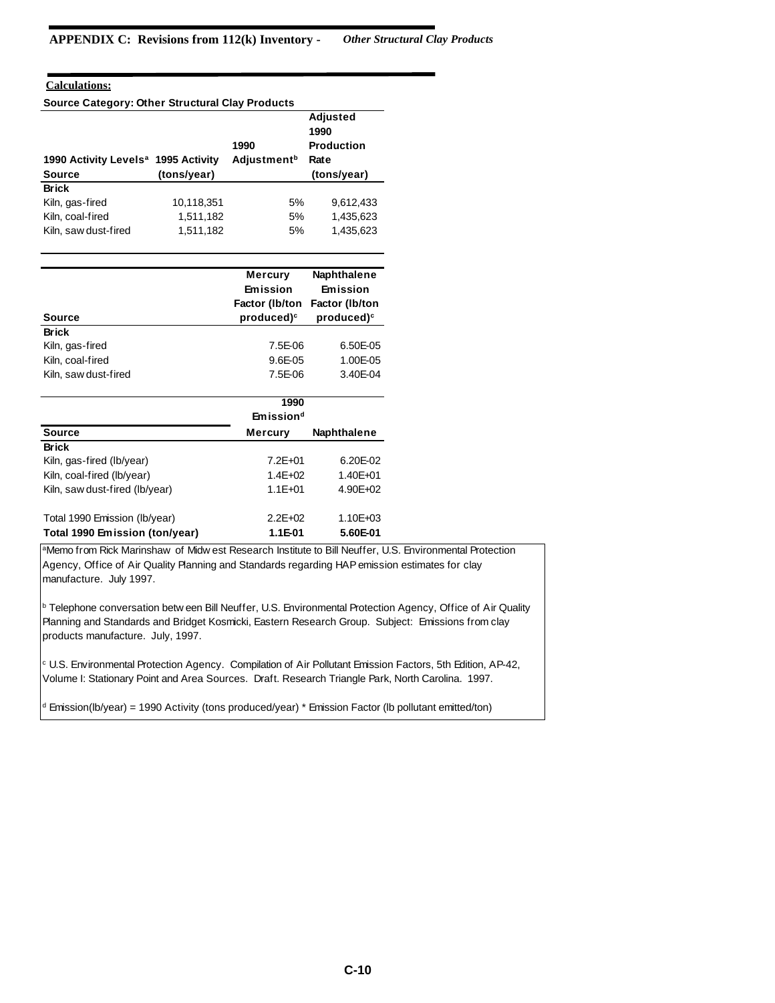# **Calculations:**

**Source Category: Other Structural Clay Products**

|                                                 |             |                                        | <b>Adjusted</b><br>1990   |
|-------------------------------------------------|-------------|----------------------------------------|---------------------------|
| 1990 Activity Levels <sup>a</sup> 1995 Activity |             | 1990<br><b>Adjustment</b> <sup>b</sup> | <b>Production</b><br>Rate |
| <b>Source</b>                                   | (tons/year) |                                        | (tons/year)               |
| <b>Brick</b>                                    |             |                                        |                           |
| Kiln, gas-fired                                 | 10,118,351  | 5%                                     | 9.612.433                 |
| Kiln, coal-fired                                | 1,511,182   | 5%                                     | 1,435,623                 |
| Kiln, saw dust-fired                            | 1,511,182   | 5%                                     | 1,435,623                 |

|                                | <b>Mercury</b>        | Naphthalene    |
|--------------------------------|-----------------------|----------------|
|                                | Emission              | Emission       |
|                                | Factor (Ib/ton        | Factor (Ib/ton |
| <b>Source</b>                  | $product^c$           | product        |
| <b>Brick</b>                   |                       |                |
| Kiln, gas-fired                | 7.5E-06               | 6.50E-05       |
| Kiln, coal-fired               | $9.6E-0.5$            | 1.00E-05       |
| Kiln, saw dust-fired           | 7.5E-06               | 3.40E-04       |
|                                |                       |                |
|                                | 1990                  |                |
|                                | Emission <sup>d</sup> |                |
| <b>Source</b>                  | Mercury               | Naphthalene    |
| <b>Brick</b>                   |                       |                |
| Kiln, gas-fired (lb/year)      | $7.2E + 01$           | 6.20E-02       |
| Kiln, coal-fired (lb/year)     | $1.4E + 02$           | 1.40E+01       |
| Kiln, saw dust-fired (lb/year) | $1.1E + 01$           | 4.90E+02       |
|                                |                       |                |
| Total 1990 Emission (lb/year)  | $2.2E + 02$           | 1.10E+03       |
| Total 1990 Emission (ton/year) | 1.1E-01               | 5.60E-01       |

aMemo from Rick Marinshaw of Midw est Research Institute to Bill Neuffer, U.S. Environmental Protection Agency, Office of Air Quality Planning and Standards regarding HAP emission estimates for clay manufacture. July 1997.

**b Telephone conversation betw een Bill Neuffer, U.S. Environmental Protection Agency, Office of Air Quality** Planning and Standards and Bridget Kosmicki, Eastern Research Group. Subject: Emissions from clay products manufacture. July, 1997.

c U.S. Environmental Protection Agency. Compilation of Air Pollutant Emission Factors, 5th Edition, AP-42, Volume I: Stationary Point and Area Sources. Draft. Research Triangle Park, North Carolina. 1997.

<sup>d</sup> Emission(lb/year) = 1990 Activity (tons produced/year) \* Emission Factor (lb pollutant emitted/ton)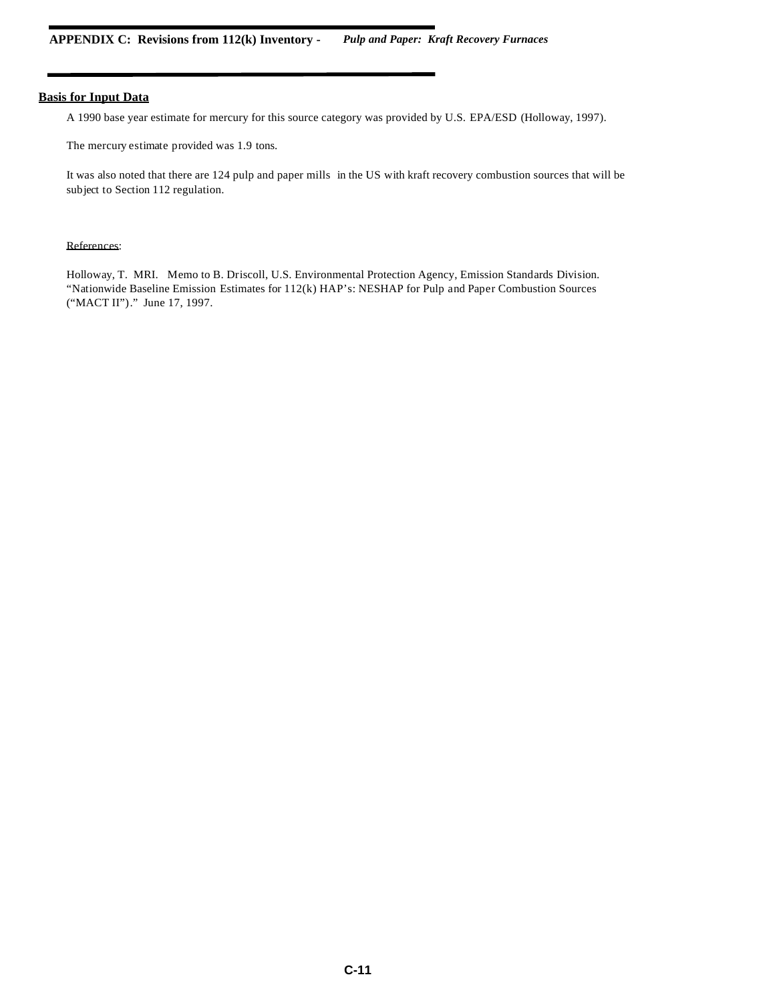A 1990 base year estimate for mercury for this source category was provided by U.S. EPA/ESD (Holloway, 1997).

The mercury estimate provided was 1.9 tons.

It was also noted that there are 124 pulp and paper mills in the US with kraft recovery combustion sources that will be subject to Section 112 regulation.

### References:

Holloway, T. MRI. Memo to B. Driscoll, U.S. Environmental Protection Agency, Emission Standards Division. "Nationwide Baseline Emission Estimates for 112(k) HAP's: NESHAP for Pulp and Paper Combustion Sources ("MACT II")." June 17, 1997.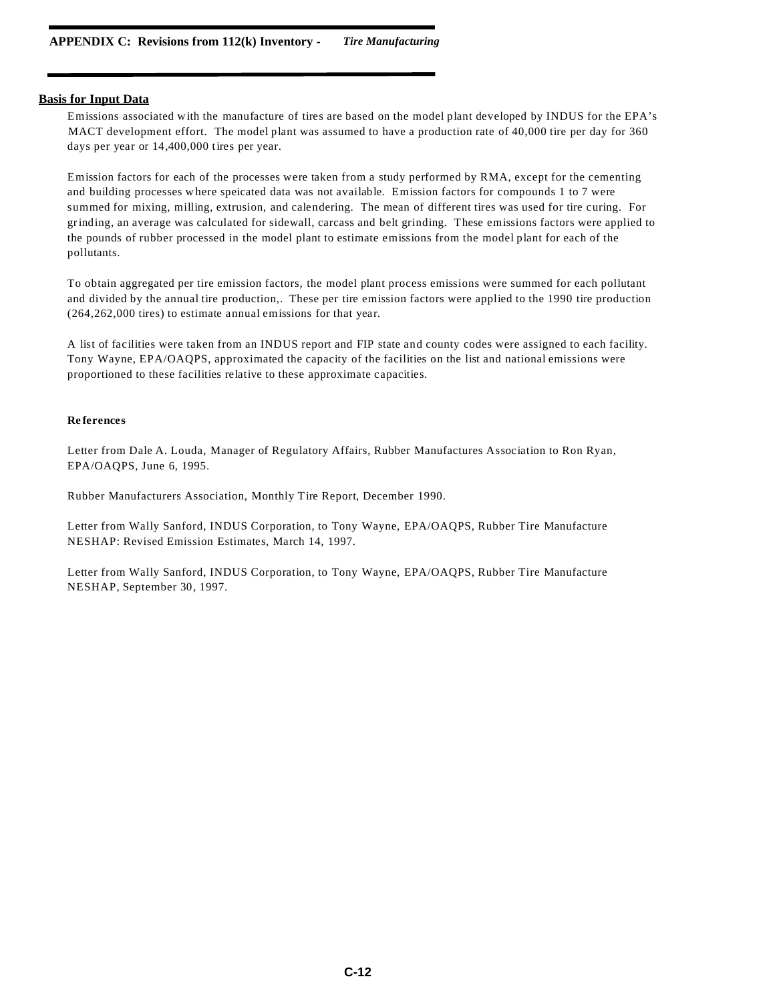Emissions associated with the manufacture of tires are based on the model plant developed by INDUS for the EPA's MACT development effort. The model plant was assumed to have a production rate of 40,000 tire per day for 360 days per year or 14,400,000 tires per year.

Emission factors for each of the processes were taken from a study performed by RMA, except for the cementing and building processes w here speicated data was not available. Emission factors for compounds 1 to 7 were summed for mixing, milling, extrusion, and calendering. The mean of different tires was used for tire curing. For grinding, an average was calculated for sidewall, carcass and belt grinding. These emissions factors were applied to the pounds of rubber processed in the model plant to estimate emissions from the model plant for each of the pollutants.

To obtain aggregated per tire emission factors, the model plant process emissions were summed for each pollutant and divided by the annual tire production,. These per tire emission factors were applied to the 1990 tire production (264,262,000 tires) to estimate annual emissions for that year.

A list of facilities were taken from an INDUS report and FIP state and county codes were assigned to each facility. Tony Wayne, EPA/OAQPS, approximated the capacity of the facilities on the list and national emissions were proportioned to these facilities relative to these approximate capacities.

#### **Re ferences**

Letter from Dale A. Louda, Manager of Regulatory Affairs, Rubber Manufactures Association to Ron Ryan, EPA/OAQPS, June 6, 1995.

Rubber Manufacturers Association, Monthly Tire Report, December 1990.

Letter from Wally Sanford, INDUS Corporation, to Tony Wayne, EPA/OAQPS, Rubber Tire Manufacture NESHAP: Revised Emission Estimates, March 14, 1997.

Letter from Wally Sanford, INDUS Corporation, to Tony Wayne, EPA/OAQPS, Rubber Tire Manufacture NESHAP, September 30, 1997.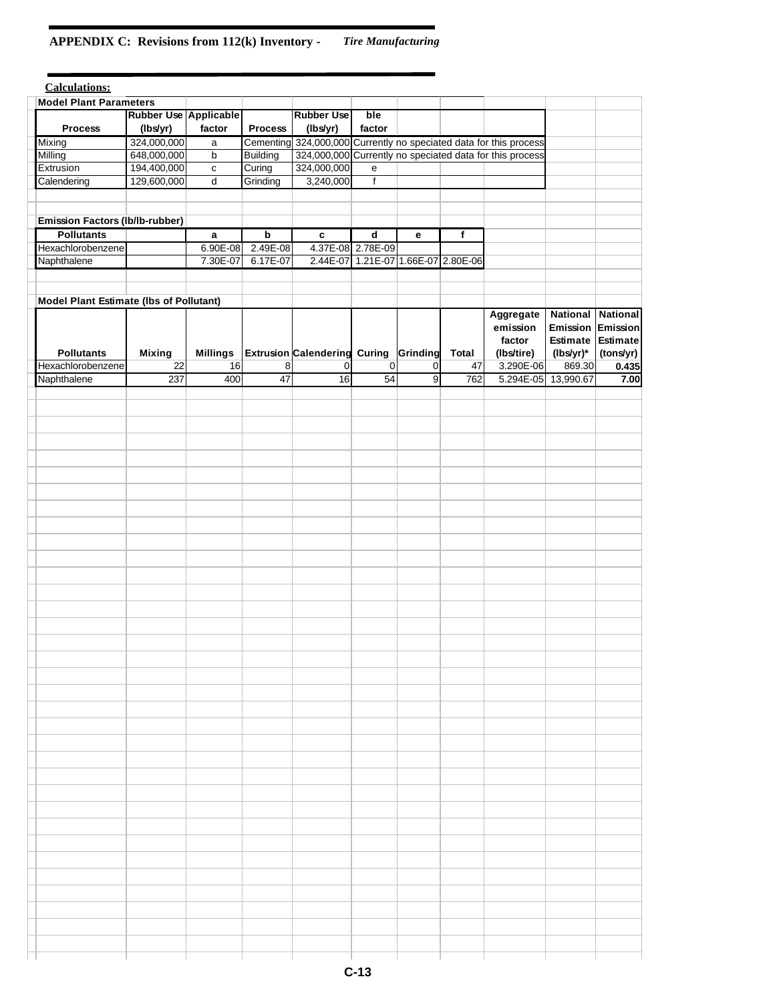# **APPENDIX C: Revisions from 112(k) Inventory -** *Tire Manufacturing*

| <b>Calculations:</b>                           |                       |                 |                 |                                     |                   |                                  |              |                                                          |                          |                 |
|------------------------------------------------|-----------------------|-----------------|-----------------|-------------------------------------|-------------------|----------------------------------|--------------|----------------------------------------------------------|--------------------------|-----------------|
| <b>Model Plant Parameters</b>                  |                       |                 |                 |                                     |                   |                                  |              |                                                          |                          |                 |
|                                                | Rubber Use Applicable |                 |                 | <b>Rubber Use</b>                   | ble               |                                  |              |                                                          |                          |                 |
| <b>Process</b>                                 | (lbs/yr)              | factor          | <b>Process</b>  | (lbs/yr)                            | factor            |                                  |              |                                                          |                          |                 |
| Mixing                                         | 324,000,000           | a               | Cementing       |                                     |                   |                                  |              | 324,000,000 Currently no speciated data for this process |                          |                 |
| Milling                                        | 648,000,000           | b               | <b>Building</b> |                                     |                   |                                  |              | 324,000,000 Currently no speciated data for this process |                          |                 |
| Extrusion                                      | 194,400,000           | $\mathtt{C}$    | Curing          | 324,000,000                         | e                 |                                  |              |                                                          |                          |                 |
| Calendering                                    | 129,600,000           | d               | Grinding        | 3,240,000                           | $\mathsf f$       |                                  |              |                                                          |                          |                 |
|                                                |                       |                 |                 |                                     |                   |                                  |              |                                                          |                          |                 |
|                                                |                       |                 |                 |                                     |                   |                                  |              |                                                          |                          |                 |
| <b>Emission Factors (lb/lb-rubber)</b>         |                       |                 |                 |                                     |                   |                                  |              |                                                          |                          |                 |
| <b>Pollutants</b>                              |                       | a               | $\mathbf b$     | $\mathbf c$                         | $\mathbf d$       | е                                | f            |                                                          |                          |                 |
| Hexachlorobenzene                              |                       | 6.90E-08        | 2.49E-08        |                                     | 4.37E-08 2.78E-09 |                                  |              |                                                          |                          |                 |
| Naphthalene                                    |                       | 7.30E-07        | 6.17E-07        | 2.44E-07                            |                   | 1.21E-07 1.66E-07 2.80E-06       |              |                                                          |                          |                 |
|                                                |                       |                 |                 |                                     |                   |                                  |              |                                                          |                          |                 |
|                                                |                       |                 |                 |                                     |                   |                                  |              |                                                          |                          |                 |
| <b>Model Plant Estimate (Ibs of Pollutant)</b> |                       |                 |                 |                                     |                   |                                  |              |                                                          |                          |                 |
|                                                |                       |                 |                 |                                     |                   |                                  |              | Aggregate                                                | <b>National National</b> |                 |
|                                                |                       |                 |                 |                                     |                   |                                  |              | emission                                                 | Emission                 | <b>Emission</b> |
|                                                |                       |                 |                 |                                     |                   |                                  |              | factor                                                   | Estimate                 | <b>Estimate</b> |
| <b>Pollutants</b>                              | <b>Mixing</b>         | <b>Millings</b> |                 | <b>Extrusion Calendering Curing</b> |                   | Grinding                         | <b>Total</b> | (lbs/tire)                                               | (lbs/yr)*                | (tons/yr)       |
| Hexachlorobenzene<br>Naphthalene               | 22<br>237             | 16<br>400       | 8<br>47         | $\vert 0 \vert$<br>$\overline{16}$  | $\Omega$<br>54    | $\overline{0}$<br>$\overline{9}$ | 47<br>762    | 3.290E-06<br>$5.294E-05$                                 | 869.30<br>13,990.67      | 0.435           |
|                                                |                       |                 |                 |                                     |                   |                                  |              |                                                          |                          | 7.00            |
|                                                |                       |                 |                 |                                     |                   |                                  |              |                                                          |                          |                 |
|                                                |                       |                 |                 |                                     |                   |                                  |              |                                                          |                          |                 |
|                                                |                       |                 |                 |                                     |                   |                                  |              |                                                          |                          |                 |
|                                                |                       |                 |                 |                                     |                   |                                  |              |                                                          |                          |                 |
|                                                |                       |                 |                 |                                     |                   |                                  |              |                                                          |                          |                 |
|                                                |                       |                 |                 |                                     |                   |                                  |              |                                                          |                          |                 |
|                                                |                       |                 |                 |                                     |                   |                                  |              |                                                          |                          |                 |
|                                                |                       |                 |                 |                                     |                   |                                  |              |                                                          |                          |                 |
|                                                |                       |                 |                 |                                     |                   |                                  |              |                                                          |                          |                 |
|                                                |                       |                 |                 |                                     |                   |                                  |              |                                                          |                          |                 |
|                                                |                       |                 |                 |                                     |                   |                                  |              |                                                          |                          |                 |
|                                                |                       |                 |                 |                                     |                   |                                  |              |                                                          |                          |                 |
|                                                |                       |                 |                 |                                     |                   |                                  |              |                                                          |                          |                 |
|                                                |                       |                 |                 |                                     |                   |                                  |              |                                                          |                          |                 |
|                                                |                       |                 |                 |                                     |                   |                                  |              |                                                          |                          |                 |
|                                                |                       |                 |                 |                                     |                   |                                  |              |                                                          |                          |                 |
|                                                |                       |                 |                 |                                     |                   |                                  |              |                                                          |                          |                 |
|                                                |                       |                 |                 |                                     |                   |                                  |              |                                                          |                          |                 |
|                                                |                       |                 |                 |                                     |                   |                                  |              |                                                          |                          |                 |
|                                                |                       |                 |                 |                                     |                   |                                  |              |                                                          |                          |                 |
|                                                |                       |                 |                 |                                     |                   |                                  |              |                                                          |                          |                 |
|                                                |                       |                 |                 |                                     |                   |                                  |              |                                                          |                          |                 |
|                                                |                       |                 |                 |                                     |                   |                                  |              |                                                          |                          |                 |
|                                                |                       |                 |                 |                                     |                   |                                  |              |                                                          |                          |                 |
|                                                |                       |                 |                 |                                     |                   |                                  |              |                                                          |                          |                 |
|                                                |                       |                 |                 |                                     |                   |                                  |              |                                                          |                          |                 |
|                                                |                       |                 |                 |                                     |                   |                                  |              |                                                          |                          |                 |
|                                                |                       |                 |                 |                                     |                   |                                  |              |                                                          |                          |                 |
|                                                |                       |                 |                 |                                     |                   |                                  |              |                                                          |                          |                 |
|                                                |                       |                 |                 |                                     |                   |                                  |              |                                                          |                          |                 |
|                                                |                       |                 |                 |                                     |                   |                                  |              |                                                          |                          |                 |
|                                                |                       |                 |                 |                                     |                   |                                  |              |                                                          |                          |                 |
|                                                |                       |                 |                 |                                     |                   |                                  |              |                                                          |                          |                 |
|                                                |                       |                 |                 |                                     |                   |                                  |              |                                                          |                          |                 |
|                                                |                       |                 |                 |                                     |                   |                                  |              |                                                          |                          |                 |
|                                                |                       |                 |                 |                                     |                   |                                  |              |                                                          |                          |                 |
|                                                |                       |                 |                 |                                     |                   |                                  |              |                                                          |                          |                 |
|                                                |                       |                 |                 |                                     |                   |                                  |              |                                                          |                          |                 |
|                                                |                       |                 |                 |                                     |                   |                                  |              |                                                          |                          |                 |
|                                                |                       |                 |                 |                                     |                   |                                  |              |                                                          |                          |                 |
|                                                |                       |                 |                 |                                     |                   |                                  |              |                                                          |                          |                 |
|                                                |                       |                 |                 |                                     |                   |                                  |              |                                                          |                          |                 |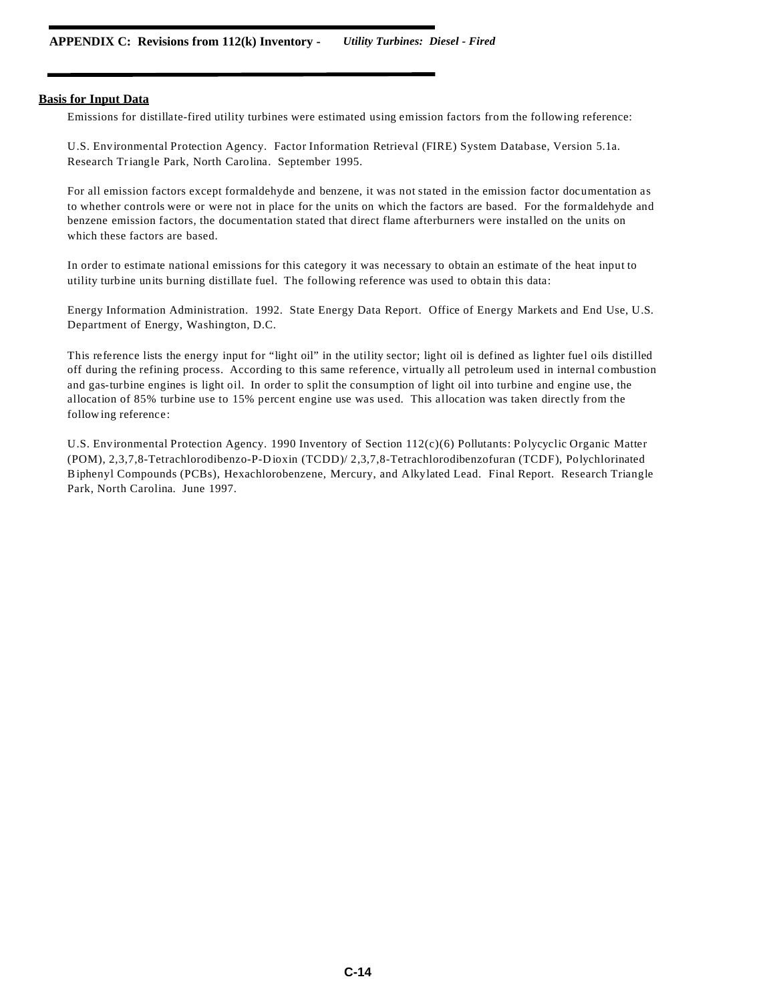Emissions for distillate-fired utility turbines were estimated using emission factors from the following reference:

U.S. Environmental Protection Agency. Factor Information Retrieval (FIRE) System Database, Version 5.1a. Research Triangle Park, North Carolina. September 1995.

For all emission factors except formaldehyde and benzene, it was not stated in the emission factor documentation as to whether controls were or were not in place for the units on which the factors are based. For the formaldehyde and benzene emission factors, the documentation stated that direct flame afterburners were installed on the units on which these factors are based.

In order to estimate national emissions for this category it was necessary to obtain an estimate of the heat input to utility turbine units burning distillate fuel. The following reference was used to obtain this data:

Energy Information Administration. 1992. State Energy Data Report. Office of Energy Markets and End Use, U.S. Department of Energy, Washington, D.C.

This reference lists the energy input for "light oil" in the utility sector; light oil is defined as lighter fuel oils distilled off during the refining process. According to this same reference, virtually all petroleum used in internal combustion and gas-turbine engines is light oil. In order to split the consumption of light oil into turbine and engine use, the allocation of 85% turbine use to 15% percent engine use was used. This allocation was taken directly from the follow ing reference:

U.S. Environmental Protection Agency. 1990 Inventory of Section 112(c)(6) Pollutants: Polycyclic Organic Matter (POM), 2,3,7,8-Tetrachlorodibenzo-P-D ioxin (TCDD)/ 2,3,7,8-Tetrachlorodibenzofuran (TCDF), Polychlorinated Biphenyl Compounds (PCBs), Hexachlorobenzene, Mercury, and Alkylated Lead. Final Report. Research Triangle Park, North Carolina. June 1997.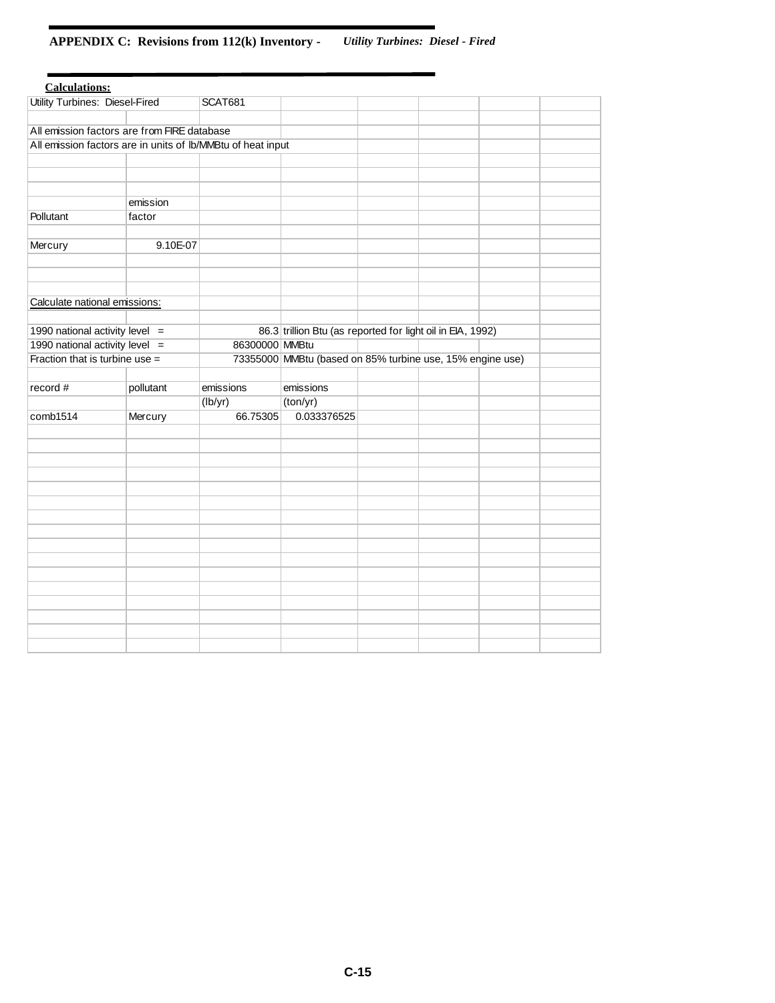# **APPENDIX C: Revisions from 112(k) Inventory -** *Utility Turbines: Diesel - Fired*

| <b>Calculations:</b>                                        |           |                |                                                            |  |  |  |
|-------------------------------------------------------------|-----------|----------------|------------------------------------------------------------|--|--|--|
| <b>Utility Turbines: Diesel-Fired</b>                       |           | <b>SCAT681</b> |                                                            |  |  |  |
|                                                             |           |                |                                                            |  |  |  |
| All emission factors are from FIRE database                 |           |                |                                                            |  |  |  |
| All emission factors are in units of Ib/MMBtu of heat input |           |                |                                                            |  |  |  |
|                                                             |           |                |                                                            |  |  |  |
|                                                             |           |                |                                                            |  |  |  |
|                                                             |           |                |                                                            |  |  |  |
|                                                             | emission  |                |                                                            |  |  |  |
| Pollutant                                                   | factor    |                |                                                            |  |  |  |
|                                                             |           |                |                                                            |  |  |  |
| Mercury                                                     | 9.10E-07  |                |                                                            |  |  |  |
|                                                             |           |                |                                                            |  |  |  |
|                                                             |           |                |                                                            |  |  |  |
|                                                             |           |                |                                                            |  |  |  |
| Calculate national emissions:                               |           |                |                                                            |  |  |  |
|                                                             |           |                |                                                            |  |  |  |
| 1990 national activity level $=$                            |           |                | 86.3 trillion Btu (as reported for light oil in EIA, 1992) |  |  |  |
| 1990 national activity level $=$                            |           | 86300000 MMBtu |                                                            |  |  |  |
| Fraction that is turbine use =                              |           |                | 73355000 MMBtu (based on 85% turbine use, 15% engine use)  |  |  |  |
|                                                             |           |                |                                                            |  |  |  |
| record#                                                     | pollutant | emissions      | emissions                                                  |  |  |  |
|                                                             |           | (lb/yr)        | (ton/yr)                                                   |  |  |  |
| comb1514                                                    | Mercury   | 66.75305       | 0.033376525                                                |  |  |  |
|                                                             |           |                |                                                            |  |  |  |
|                                                             |           |                |                                                            |  |  |  |
|                                                             |           |                |                                                            |  |  |  |
|                                                             |           |                |                                                            |  |  |  |
|                                                             |           |                |                                                            |  |  |  |
|                                                             |           |                |                                                            |  |  |  |
|                                                             |           |                |                                                            |  |  |  |
|                                                             |           |                |                                                            |  |  |  |
|                                                             |           |                |                                                            |  |  |  |
|                                                             |           |                |                                                            |  |  |  |
|                                                             |           |                |                                                            |  |  |  |
|                                                             |           |                |                                                            |  |  |  |
|                                                             |           |                |                                                            |  |  |  |
|                                                             |           |                |                                                            |  |  |  |
|                                                             |           |                |                                                            |  |  |  |
|                                                             |           |                |                                                            |  |  |  |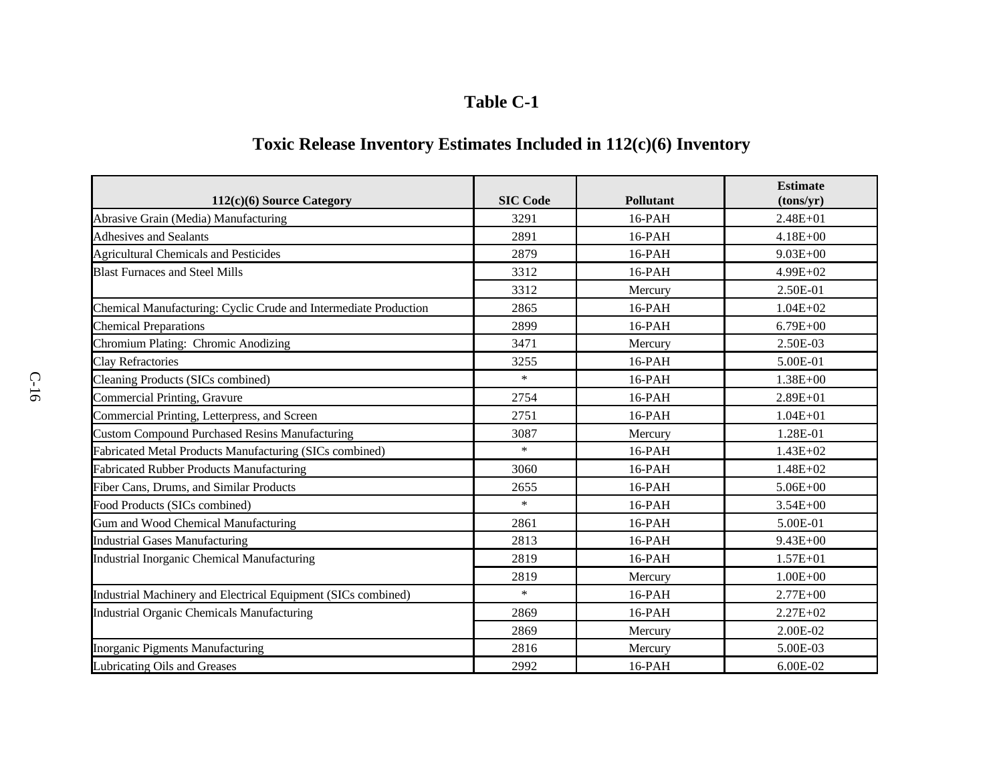# **Table C-1**

# **Toxic Release Inventory Estimates Included in 112(c)(6) Inventory**

| $112(c)(6)$ Source Category                                      | <b>SIC Code</b> | <b>Pollutant</b> | <b>Estimate</b><br>(tons/yr) |
|------------------------------------------------------------------|-----------------|------------------|------------------------------|
| Abrasive Grain (Media) Manufacturing                             | 3291            | $16$ -PAH        | $2.48E + 01$                 |
| <b>Adhesives and Sealants</b>                                    | 2891            | $16-PAH$         | $4.18E + 00$                 |
| <b>Agricultural Chemicals and Pesticides</b>                     | 2879            | 16-PAH           | $9.03E + 00$                 |
| <b>Blast Furnaces and Steel Mills</b>                            | 3312            | $16$ -PAH        | $4.99E + 02$                 |
|                                                                  | 3312            | Mercury          | 2.50E-01                     |
| Chemical Manufacturing: Cyclic Crude and Intermediate Production | 2865            | 16-PAH           | $1.04E + 02$                 |
| <b>Chemical Preparations</b>                                     | 2899            | $16$ -PAH        | $6.79E + 00$                 |
| Chromium Plating: Chromic Anodizing                              | 3471            | Mercury          | 2.50E-03                     |
| <b>Clay Refractories</b>                                         | 3255            | 16-PAH           | 5.00E-01                     |
| Cleaning Products (SICs combined)                                | $\ast$          | $16$ -PAH        | $1.38E + 00$                 |
| Commercial Printing, Gravure                                     | 2754            | 16-PAH           | $2.89E + 01$                 |
| Commercial Printing, Letterpress, and Screen                     | 2751            | $16$ -PAH        | $1.04E + 01$                 |
| <b>Custom Compound Purchased Resins Manufacturing</b>            | 3087            | Mercury          | 1.28E-01                     |
| Fabricated Metal Products Manufacturing (SICs combined)          | $\ast$          | $16$ -PAH        | $1.43E + 02$                 |
| <b>Fabricated Rubber Products Manufacturing</b>                  | 3060            | 16-PAH           | $1.48E + 02$                 |
| Fiber Cans, Drums, and Similar Products                          | 2655            | 16-PAH           | $5.06E + 00$                 |
| Food Products (SICs combined)                                    | $\ast$          | $16$ -PAH        | $3.54E + 00$                 |
| Gum and Wood Chemical Manufacturing                              | 2861            | $16$ -PAH        | 5.00E-01                     |
| <b>Industrial Gases Manufacturing</b>                            | 2813            | 16-PAH           | $9.43E + 00$                 |
| <b>Industrial Inorganic Chemical Manufacturing</b>               | 2819            | $16$ -PAH        | $1.57E + 01$                 |
|                                                                  | 2819            | Mercury          | $1.00E + 00$                 |
| Industrial Machinery and Electrical Equipment (SICs combined)    | $\ast$          | $16-PAH$         | $2.77E + 00$                 |
| <b>Industrial Organic Chemicals Manufacturing</b>                | 2869            | $16$ -PAH        | $2.27E + 02$                 |
|                                                                  | 2869            | Mercury          | 2.00E-02                     |
| Inorganic Pigments Manufacturing                                 | 2816            | Mercury          | 5.00E-03                     |
| Lubricating Oils and Greases                                     | 2992            | 16-PAH           | 6.00E-02                     |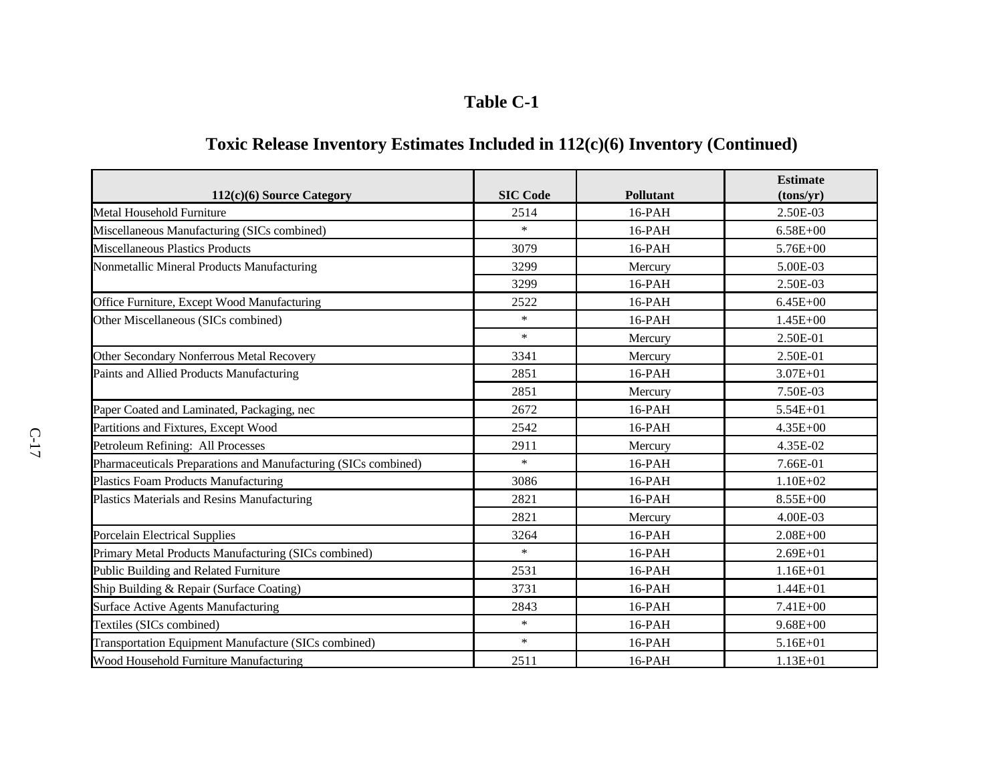# **Table C-1**

# **Toxic Release Inventory Estimates Included in 112(c)(6) Inventory (Continued)**

|                                                                |                 |                  | <b>Estimate</b> |
|----------------------------------------------------------------|-----------------|------------------|-----------------|
| $112(c)(6)$ Source Category                                    | <b>SIC Code</b> | <b>Pollutant</b> | (tons/yr)       |
| Metal Household Furniture                                      | 2514            | $16$ -PAH        | 2.50E-03        |
| Miscellaneous Manufacturing (SICs combined)                    | $\ast$          | $16$ -PAH        | $6.58E + 00$    |
| <b>Miscellaneous Plastics Products</b>                         | 3079            | 16-PAH           | 5.76E+00        |
| Nonmetallic Mineral Products Manufacturing                     | 3299            | Mercury          | 5.00E-03        |
|                                                                | 3299            | 16-PAH           | 2.50E-03        |
| Office Furniture, Except Wood Manufacturing                    | 2522            | 16-PAH           | $6.45E + 00$    |
| Other Miscellaneous (SICs combined)                            | $\ast$          | 16-PAH           | $1.45E + 00$    |
|                                                                | $\ast$          | Mercury          | 2.50E-01        |
| Other Secondary Nonferrous Metal Recovery                      | 3341            | Mercury          | 2.50E-01        |
| Paints and Allied Products Manufacturing                       | 2851            | 16-PAH           | $3.07E + 01$    |
|                                                                | 2851            | Mercury          | 7.50E-03        |
| Paper Coated and Laminated, Packaging, nec                     | 2672            | $16$ -PAH        | 5.54E+01        |
| Partitions and Fixtures, Except Wood                           | 2542            | 16-PAH           | $4.35E + 00$    |
| Petroleum Refining: All Processes                              | 2911            | Mercury          | 4.35E-02        |
| Pharmaceuticals Preparations and Manufacturing (SICs combined) | $\ast$          | 16-PAH           | 7.66E-01        |
| <b>Plastics Foam Products Manufacturing</b>                    | 3086            | 16-PAH           | $1.10E + 02$    |
| Plastics Materials and Resins Manufacturing                    | 2821            | 16-PAH           | 8.55E+00        |
|                                                                | 2821            | Mercury          | 4.00E-03        |
| <b>Porcelain Electrical Supplies</b>                           | 3264            | 16-PAH           | $2.08E + 00$    |
| Primary Metal Products Manufacturing (SICs combined)           | $\ast$          | 16-PAH           | $2.69E + 01$    |
| Public Building and Related Furniture                          | 2531            | $16$ -PAH        | $1.16E + 01$    |
| Ship Building & Repair (Surface Coating)                       | 3731            | $16$ -PAH        | $1.44E + 01$    |
| Surface Active Agents Manufacturing                            | 2843            | 16-PAH           | 7.41E+00        |
| Textiles (SICs combined)                                       | $\ast$          | $16$ -PAH        | $9.68E + 00$    |
| Transportation Equipment Manufacture (SICs combined)           | $\ast$          | 16-PAH           | $5.16E + 01$    |
| Wood Household Furniture Manufacturing                         | 2511            | 16-PAH           | $1.13E + 01$    |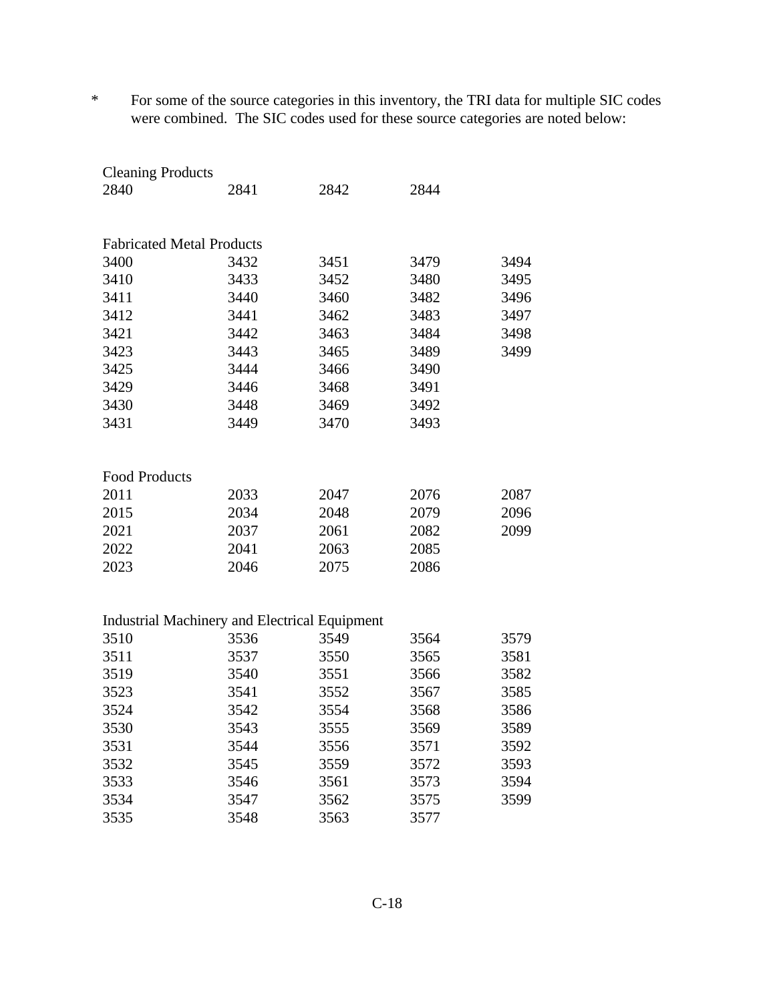\* For some of the source categories in this inventory, the TRI data for multiple SIC codes were combined. The SIC codes used for these source categories are noted below:

| <b>Cleaning Products</b>         |                                                      |      |      |      |
|----------------------------------|------------------------------------------------------|------|------|------|
| 2840                             | 2841                                                 | 2842 | 2844 |      |
|                                  |                                                      |      |      |      |
| <b>Fabricated Metal Products</b> |                                                      |      |      |      |
| 3400                             | 3432                                                 | 3451 | 3479 | 3494 |
| 3410                             | 3433                                                 | 3452 | 3480 | 3495 |
| 3411                             | 3440                                                 | 3460 | 3482 | 3496 |
| 3412                             | 3441                                                 | 3462 | 3483 | 3497 |
| 3421                             | 3442                                                 | 3463 | 3484 | 3498 |
| 3423                             | 3443                                                 | 3465 | 3489 | 3499 |
| 3425                             | 3444                                                 | 3466 | 3490 |      |
| 3429                             | 3446                                                 | 3468 | 3491 |      |
| 3430                             | 3448                                                 | 3469 | 3492 |      |
| 3431                             | 3449                                                 | 3470 | 3493 |      |
|                                  |                                                      |      |      |      |
| <b>Food Products</b>             |                                                      |      |      |      |
| 2011                             | 2033                                                 | 2047 | 2076 | 2087 |
| 2015                             | 2034                                                 | 2048 | 2079 | 2096 |
| 2021                             | 2037                                                 | 2061 | 2082 | 2099 |
| 2022                             | 2041                                                 | 2063 | 2085 |      |
| 2023                             | 2046                                                 | 2075 | 2086 |      |
|                                  |                                                      |      |      |      |
|                                  | <b>Industrial Machinery and Electrical Equipment</b> |      |      |      |
| 3510                             | 3536                                                 | 3549 | 3564 | 3579 |
| 3511                             | 3537                                                 | 3550 | 3565 | 3581 |
| 3519                             | 3540                                                 | 3551 | 3566 | 3582 |
| 3523                             | 3541                                                 | 3552 | 3567 | 3585 |
| 3524                             | 3542                                                 | 3554 | 3568 | 3586 |
| 3530                             | 3543                                                 | 3555 | 3569 | 3589 |
| 3531                             | 3544                                                 | 3556 | 3571 | 3592 |
| 3532                             | 3545                                                 | 3559 | 3572 | 3593 |
| 3533                             | 3546                                                 | 3561 | 3573 | 3594 |
| 3534                             | 3547                                                 | 3562 | 3575 | 3599 |
| 3535                             | 3548                                                 | 3563 | 3577 |      |